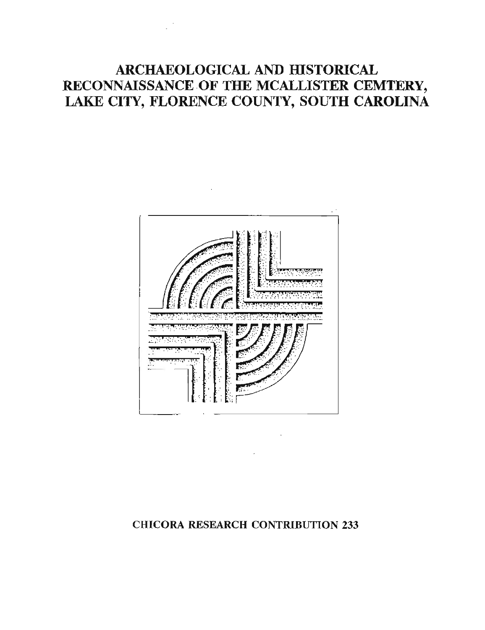# ARCHAEOLOGICAL AND HISTORICAL RECONNAISSANCE OF THE MCALLISTER CEMTERY, LAKE CITY, FLORENCE COUNTY, SOUTH CAROLINA



# CHICORA RESEARCH CONTRIBUTION 233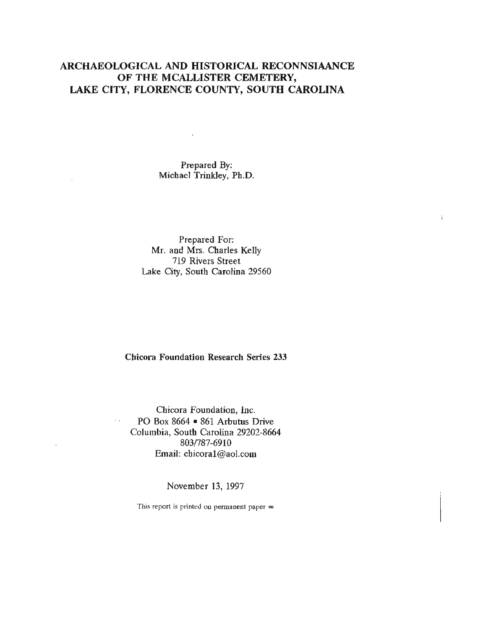## ARCHAEOLOGICAL AND HISTORICAL RECONNSIAANCE OF THE MCALLISTER CEMETERY, LAKE CITY, FLORENCE COUNTY, SOUTH CAROLINA

Prepared By: Michael Trinkley, Ph.D.

Prepared For: Mr. and Mrs. Charles Kelly 719 Rivers Street Lake City, South Carolina 29560  $\mathbf i$ 

#### Chicora Foundation Research Series 233

Chicora Foundation, Inc. PO Box 8664 • 861 Arbutus Drive Columbia, South Carolina 29202-8664 803/787-6910 Email: chicoral@aoLcom

 $\epsilon_{\rm eff}$ 

 $\ddot{\phantom{0}}$ 

November 13, 1997

This report is printed on permanent paper  $\infty$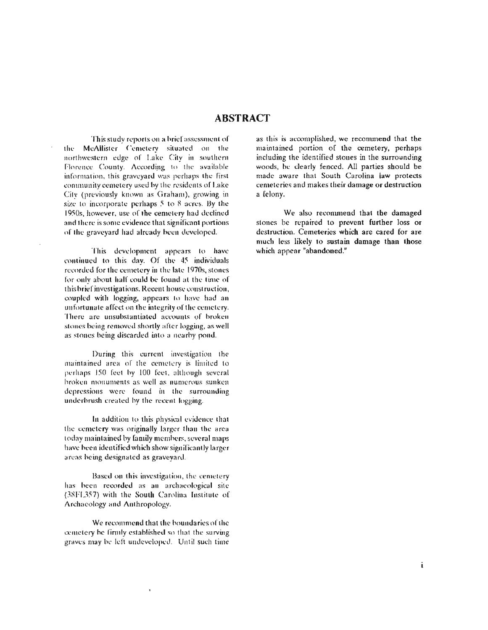### **ABSTRACT**

This study reports on a hrief assessment of the McAllister Cemetery situated on the northwestern edge of Lake City in southern Florence County. According to the available information, this graveyard was perhaps the first community cemetery used by the residents of Lake City (previously known as Graham), growing in size to incorporate perhaps  $5$  to  $8$  acres. By the I950s, however, usc of the cemetery had declined and there is some evidence that significant portions of the graveyard had already been developed.

This development appears to have continued to this day. Of the 45 individuals recorded for the cemetery in the late 1970s, stones for only ahout half could he found at the time of this brief investigations. Recent house construction, coupled with logging, appears to have had an unfortunate affect on the integrity of the cemetery. There are unsubstantiated accounts of broken stones being removed shortly after logging, as well as stones being discarded into a nearby pond.

During this current investigation the maintained area of the cemckry is limited to perhaps 150 feet by 100 feet, although several broken monuments as well as numerous sunken depressions were found in the surrounding underbrush created by the recent logging.

In addition to this physical evidence that the cemetery was originally larger than the area today maintained by family members, several maps have been identified whieh show significantly larger areas heing designated as graveyard.

Based on this investigation, the cemetery has been recorded as an archaeological site (38FL357) with the South Carolina Institute of Archaeology and Anthropology.

We recommend that the houndaries of the cemetery be firmly established so that the surving graves may be left undeveloped. Until such time

as this is accomplished, we recommend that the maintained portion of the cemetery, perhaps including the identified stones in the surrounding woods, be dearly fenced. All parties should be made aware that South Carolina law protects cemeteries and makes their damage or destruction a felony.

We also recommend that the damaged stones be repaired to prevent further loss or destruction. Cemeteries whieh are cared for are much less likely to sustain damage than those which appear "abandoned."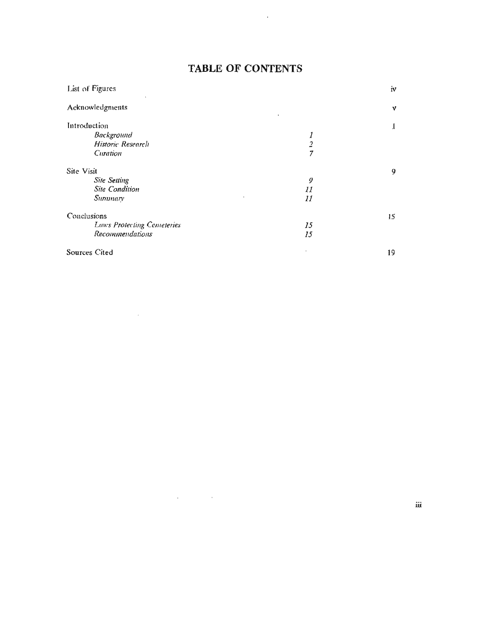# **TABLE OF CONTENTS**

 $\sim$ 

| List of Figures                   |    | iv |
|-----------------------------------|----|----|
| Acknowledgments                   | ٠  | V  |
| Introduction                      |    | 1  |
| Background                        |    |    |
| Historic Research                 | 2  |    |
| Curation                          | 7  |    |
| Site Visit                        |    | 9  |
| Site Setting                      | 9  |    |
| Site Condition                    | 11 |    |
| Summary                           | 11 |    |
| Conclusions                       |    | 15 |
| <b>Laws Protecting Cemeteries</b> | 15 |    |
| Recommendations                   | 15 |    |
| Sources Cited                     |    | 19 |

 $\mathcal{L}^{\text{max}}_{\text{max}}$  and  $\mathcal{L}^{\text{max}}_{\text{max}}$ 

 $\mathcal{L}_{\text{max}}$  and  $\mathcal{L}_{\text{max}}$  . The  $\mathcal{L}_{\text{max}}$ 

iü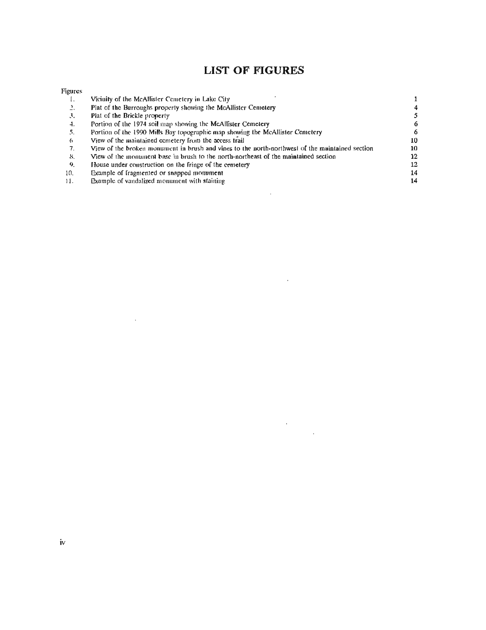# **LIST OF FIGURES**

 $\sim 10^{11}$  km s  $^{-1}$ 

 $\mathcal{L}^{\mathcal{L}}(\mathcal{L}^{\mathcal{L}})$  . The set of  $\mathcal{L}^{\mathcal{L}}(\mathcal{L}^{\mathcal{L}})$ 

 $\label{eq:2} \frac{1}{\sqrt{2}}\left(\frac{1}{\sqrt{2}}\right)^{2} \left(\frac{1}{\sqrt{2}}\right)^{2} \left(\frac{1}{\sqrt{2}}\right)^{2} \left(\frac{1}{\sqrt{2}}\right)^{2} \left(\frac{1}{\sqrt{2}}\right)^{2} \left(\frac{1}{\sqrt{2}}\right)^{2} \left(\frac{1}{\sqrt{2}}\right)^{2} \left(\frac{1}{\sqrt{2}}\right)^{2} \left(\frac{1}{\sqrt{2}}\right)^{2} \left(\frac{1}{\sqrt{2}}\right)^{2} \left(\frac{1}{\sqrt{2}}\right)^{2} \left(\frac{$ 

| <b>Figures</b> |                                                                                                 |    |
|----------------|-------------------------------------------------------------------------------------------------|----|
| 1.             | Vicinity of the McAllister Cemetery in Lake City                                                |    |
| 2.             | Plat of the Burroughs property showing the McAllister Cemetery                                  |    |
| 3.             | Plat of the Brickle property                                                                    |    |
| 4.             | Portion of the 1974 soil map showing the McAllister Cemetery                                    | 6  |
| 5.             | Portion of the 1990 Mills Bay topographic map showing the McAllister Cemetery                   | 6  |
| 6              | View of the maintained cometery from the access trail                                           | 10 |
| 7.             | View of the broken monument in brush and vines to the north-northwest of the maintained section | 10 |
| 8.             | View of the monument base in brush to the north-northeast of the maintained section             | 12 |
| 9.             | House under construction on the fringe of the cemetery                                          | 12 |
| 10.            | Example of fragmented or snapped monument                                                       | 14 |
| 11.            | Example of vandalized monument with staining                                                    | 14 |

 $\mathcal{L}^{\text{max}}_{\text{max}}$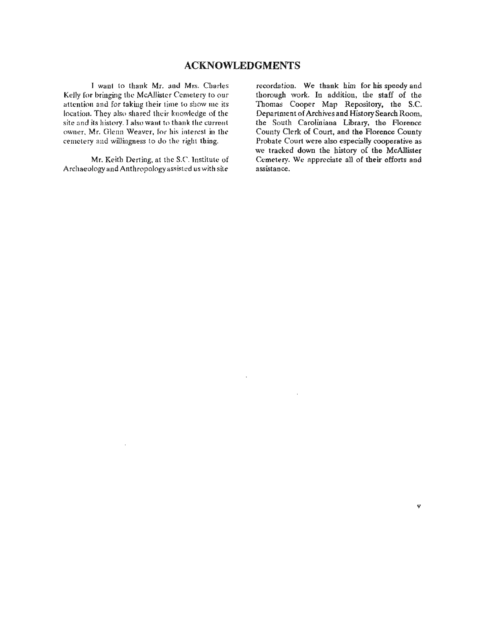### **ACKNOWLEDGMENTS**

 $\ddot{\phantom{1}}$ 

 $\ddot{\phantom{0}}$ 

I want to thank Mr. and Mrs. Charles Kelly for bringing the McAllister Cemetery to our attention and for taking their time to show me its location. They also shared their knowledge of the site and its history. I also want to thank the current owner, Mr. Glenn Weaver, for his interest in tbe cemetery and willingness to do the right thing.

Mr. Keith Derting, at the S.C. Institute of Archaeology and Anthropology assisted us with site

recordation. We thank him for his speedy and thorough work. In addition, the staff of the Thomas Cooper Map Repository, the S.C. Department of Archives and History Search Room, the South Carolinians Library. the Florence County Clerk of Court, and the Florence County Probate Court were also especially cooperative as we tracked down the history of the McAllister Cemetery. We appreciate all of their efforts and assistance.

*v*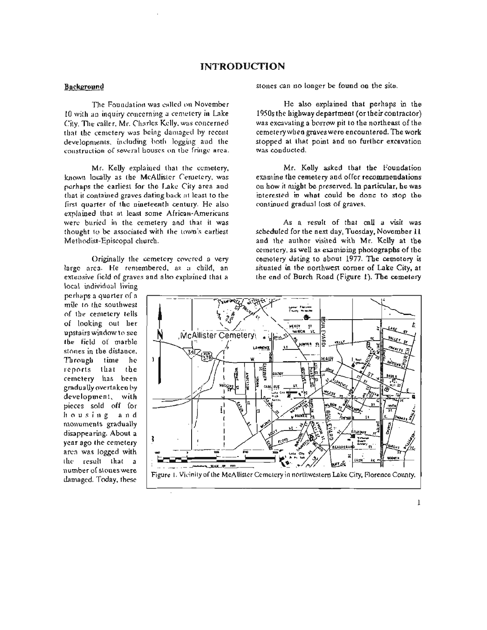#### **INTRODUCfION**

The Foundation was called on November 10 with an inquiry concerning a cemetery in Lake City. The caller. Mr. Charles Kelly, was concerned that the cemetery was being damaged by reccnt developments, including both logging and the construction of several houses on the fringe area.

Mr. Kelly explained that the cemetery, known locally as the McAUistcr Cemetery, was perhaps the earliest for the Lake City area and that it contained graves dating back at least to the first quarter of the nineteenth century. He also explained that at least some African-Americans were buried in the cemetery and that it was thought to be associated with the town's earliest Methodist-Episcopal church.

Originally the cemetery cowred a very large area. He remembered, as a child, an extensive field of graves and also explained that a local individual living

perhaps a quarter of a mile to the southwest of the cemetery tells of looking out her upstairs window to see the field of marble stones in the distance. Through time he reports that the cemetery has been gradually overtaken by development, with pieces sold off (or housiag and monuments gradually disappearing. About a year ago the cemetery area was logged with the result that a number of 5\oues were damaged. Today, these

Background **Background** stones can no longer be found on the site.

He also explained that perhaps in the 19508 the highway department (ortheir contractor) was excavating a borrow pit to the northeast of the cemeterywhen graveswere encountered. The work stopped at that point and no further excavation was conducted.

Mr. Kelly asked that the Foundation examine the cemetery and offer recommendations on how it might be preserved. In particular, he was interested in what could be done to stop the continued gradual loss of graves.

As a result of that call a visit was scheduled for the next day, Tuesday, November 11 and the author visited with Mr. Kelly at the cemetery, as well as examining photographs of the cemetery dating to about 1977. The cemetery is situated in the northwest comer of Lake City, at the end of Burch Road (Figure 1). The cemetery

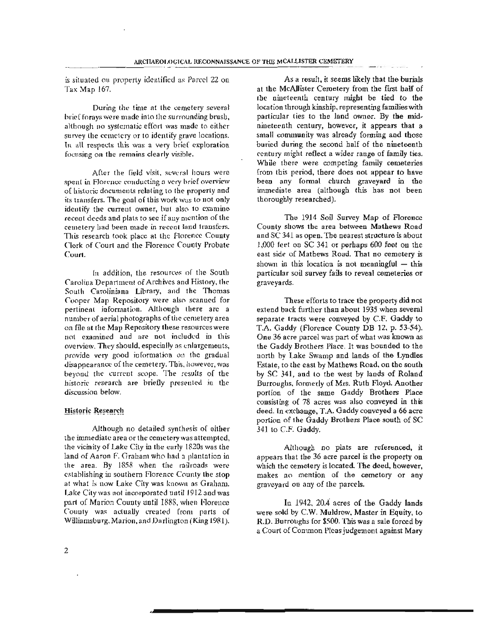is situated on property identified as Parcel 22 on Tax Map 167.

During the time at the cemetery several hric f forays were made into the surrounding brush, although no systematic effort was made to either survey the cemetery or to identify grave locations. In all respects this was a very brief exploration focusing on the remains clearly visible.

After the field visit, several hours were spent in Florence conducting a very brief overview of historic documents relating to the property and its transfers. The goal of this work was to not only identify the current owner, but also to examine recent deeds and plats to see if any mention of the cemetery had been made in recent land transfers. This research took place at the Florence County Clerk of Court and the Florence County Probate Court.

In addition, the resources of the South Carolina Department of Archives and History, the South Caroliniana Library, and the Thomas Cooper Map Repository were also scanned for pertinent information. Although there are a number of aerial photographs ofthe cemetery area on file. at the Map Repository these resources were not examined and are not included in this overview. They should, especially as enlargements, provide very good information on the gradual disappearance of the cemetery. This, however, was beyond the current scope. The results of the historic research are briefly presented in the discussion below.

#### **Historic Research**

Although no detailed synthesis of either the immediate area or the cemeterywas attempted, the vicinity of Lake City in the early 1820s was the land of Aaron F. Graham who had a plantation in the area. By 1858 when the railroads were establishing in southern Florence County the stop at what is now Lake City was known as Graham. Lake City was not incorporated until 1912 and was part of Marion County until 1888, when Florence County was actually created from parts of Williamsburg, Marion, and Darlington (King 1981).

As a result. it seems likely that the burials at the McAllister Cemetery from the first half of the nineteenth century might be tied to the location through kinship. representing families with particular ties to the land owner. By the midnineteenth century, however, it appears that a small community was already forming and those buried during the second half of the nineteenth century might reflect a wider range of family ties. While there were competing family cemeteries from this period, there does not appear to have been any formal church graveyard in the immediate area (although this has not been thoroughly researched).

The 1914 Soil Survey Map of Florence County shows the area between Mathews Road and SC 341 as open. The nearest structure is about 1,000 feet on SC 341 or perhaps 600 feet on the east side of Mathews Road. That no cemetery is shown in this location is not meaningful  $-$  this particular soil survey fails to reveal cemeteries or graveyards.

These efforts to trace the property did not extend back further than about 1935 when several separate tracts were conveyed by C.F. Gaddy to T.A. Gaddy (Florence County DB 12, p. 53-54). One 36 acre parcel was part of what was known as the Gaddy Brothers Place. It was bounded to the north by Lake Swamp and lands of the Lyndles Estate, to the east by Mathews Road, on the south by SC 341, and to tbe west by lands of Roland Burroughs. formerly of Mrs. Ruth Floyd Another portion of the same Gaddy Brothers Place consisting of 78 acres was also conveyed in this deed. In exchange, T.A. Gaddy conveyed a 66 acre portion of the Gaddy Brothers Place south of SC 341 to C.F. Gaddy.

Although no plats are referenced, it appears that the 36 acre parcel is the property on which the cemetery is located. The deed, however, makes no mention of the cemetery or any graveyard on any of the parcels.

In 1942, 20.4 acres of the Gaddy lands were sold by C.W. Muldrow, Master in Equity, to R.D. Burroughs for \$500. This was a sale forced by a Court of Common Pleas judgement against Mary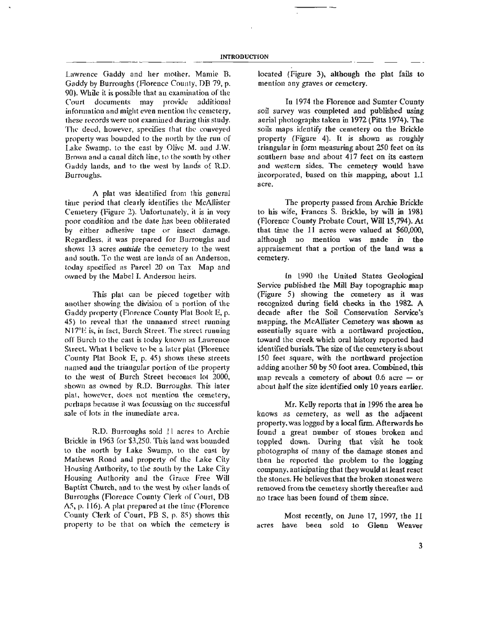Lawrence Gaddy and her mother, Mamie B. Gaddy by Burroughs (Florence County, DB 79, p. 90). While it is possible that an examination of the Court documents may provide additional information and might even mention the cemetery, these records were not examined during this study. The deed, however, specifies that the conveyed property was bounded to the north by the run of Lake Swamp, to the east by Olive M. and *l.W.* Brown and a canal ditch line, to the south by other Gaddy lands, and to the west by lands of  $R.D.$ Burroughs.

A plat was identified from this general time period that dearly identifies the McAllister Cemetery (Figure 2). Unfortunately, it is in very poor condition and the date has been obliterated by either adhesive tape or insect damage. Regardless, it was prepared (or Burroughs aud shows 13 acres *outside* the cemetery to the west and south. To the west are lands of an Anderson, today specified as Parcel 20 on Tax Map and owned by the Mabel L Anderson heirs.

This plat *can* be pieced together with another showing the division of a portion of the Gaddy property (Florence County Plat Boole E, p. 45) to reveal that the unnamed street running N17°E is, in fact, Burch Street. The street running off BUTch to the cast is today known as Lawrence Street. What I believe to be a later plat (Florence Counly Plat Book E, p. 45) shows these streets named and the triangular portion of the property to the west of Burch Street becomes lot 2000, shown as owned by R.D. Burroughs. This later plat, however, does not mention the cemetery, perhaps hecause it was focussing on the successful sale of lots in the immediate area.

R.D. Burroughs sold 11 acres to Archie Brickle in 1963 for \$3,250. This land was hounded to tbe north by Lake Swamp. to the cast by Mathews Road and property of the Lake City Housing Authority, to the south by the Lake City Housing Authority and the Grace Free Will Baptist Church, and to the west hy other lands of Burroughs (Florence County Clerk of Court, DB  $A5$ , p. 116). A plat prepared at the time (Florence County Clerk of Court, PB S, p. 85) shows this properly to he that on which the cemetery is

located (Figure 3), although the plat fails to mention any graves or cemetery.

In 1974 the florence and Sumter County soil survey was completed and published using aerial photographs taken in 1972 (Pitts 1974). The soils maps identify the cemetery on the Brickle property (Figure 4). It is shown as roughly triangular in form measuring about 250 feet on its southern base and about 417 feet on its eastern and western sides. The cemetery would have incorporated, based on this mapping, about 1.1 acre.

The property passed from Archie Brickle to his wife, Frances S. Brickle, by will in 1981 (Florence County Probate Court, Will 15,794). At that time the 11 acres were valued at \$60,000, although no mention was made in the appraisement that a portion of the land was a cemetery.

In 1990 the United States Geological Service published the Mill Bay topographic map (Figure 5) showing the cemetery as it was recognized during field checks in the 1982. A decade after the Soil Conservation Service's mapping, the McAllister Cemetery was shown as essentially square with a northward projection, toward the creek which oral history reported had identified burials. The size of the cemetery is about 150 feet square, with the northward projection adding another 50 by 50 foot area. Combined, this map reveals a cemetery of about 0.6 acre  $-$  or about half the size identified only 10 years earlier.

Mr. Kelly reports that in 1996 the area he knows as cemetery, as well as the adjacent property, was logged by a local fum. Afterwards he found a great number of stones broken and toppled down. During that visit he took photographs of many of the damage stones and then he reported the problem to the logging company, anticipating that they would at least reset the stones. He believes that the broken stoneswere removed from the cemetery shortly thereafter and no trace has been found of them since.

Most recently, on June 17, 1997, the 11 acres have been sold to Glenn Weaver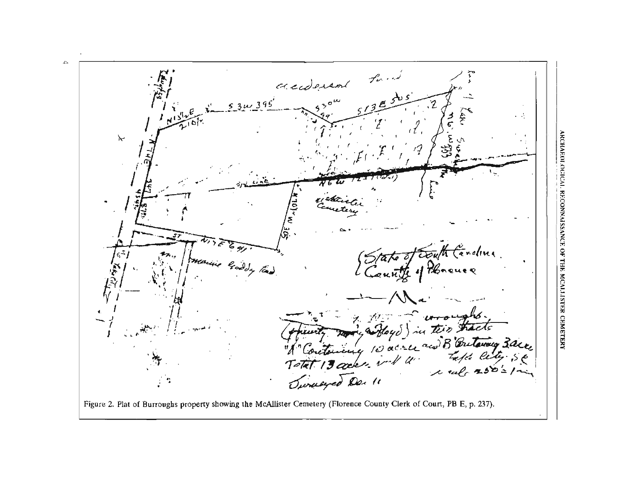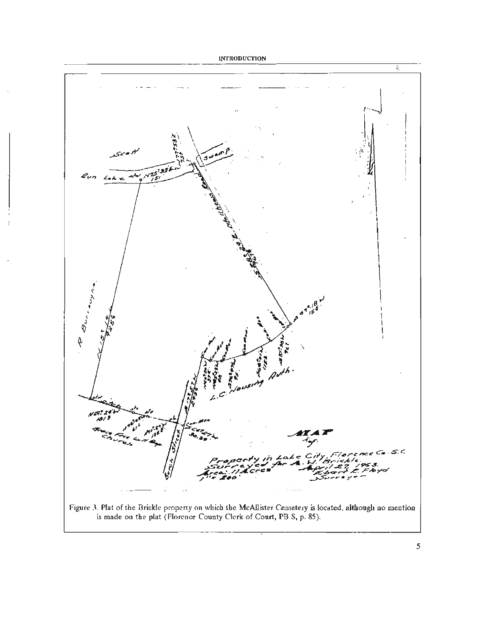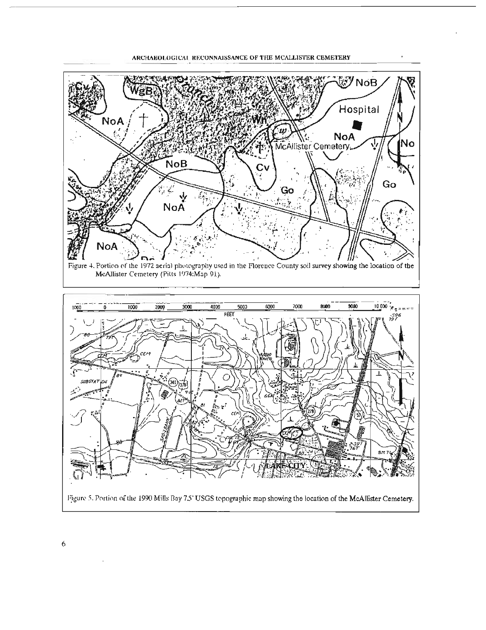ARCHAEOLOGICAL RECONNAISSANCE OF THE MCALLISTER CEMETERY

 $\ddot{\phantom{1}}$ 



 $\epsilon$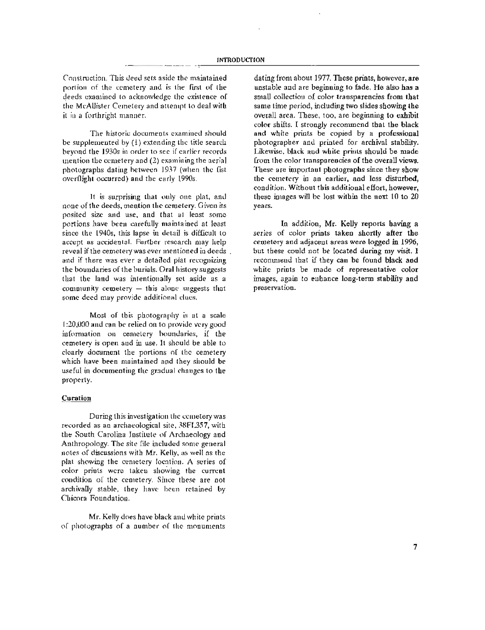Construction. This deed sets aside the maintained portion of the cemetery and is the first of the deeds examined to acknowledge the existence of the McAUister Cemetery and attempt to deal with it in a forthright manner.

The historic documents examined should be supplemented by  $(1)$  extending the title search heyond the 1930s in order to sec if earlier records mention the cemetery and (2) examining the aerial photographs dating hetwecn 1937 (when the fist ovcrfiight occurred) and tbe early 19905.

It is surprising that only one plat, and none of the deeds, mention the cemetery. Given its posited size and use, and that at least some portions have been carefully maintained at least since the 1940s, this lapse in detail is difficult to accept as accidental. Further research may help reveal if the cemetery was ever mentioned in deeds. and if there was ever a detailed plat recognizing the boundaries of the burials. Oral history suggests that the land was intentionally set aside as a community cemetery  $-$  this alone suggests that some deed may provide additional clues.

Most of tbis photography is at a scale I:20,UOO and can be relied on to provide very good information on cemetery boundaries, if the cemetery is open aud in use. It should be able to clearly document the portions of the cemetery which have been maintained and they should be useful in documenting the gradual changes to the property.

#### Curation

During this investigation the cemetery was recorded as an archaeological site, 38FL357, with the South Carolina Institute of Archaeology and Anthropology. The site file included some general notes of discussions with Mr. Kelly, as well as the plat showing the cemetery locntion. A series of color prints were taken showing the current condition of the cemetery. Since these are not archivally stable, they have been retained by Chicora Foundation.

Mr. Kelly does have black and white prints of photographs of a number of the monuments

dating from about 1977. These prints, however, are unstable and are beginning to fade. He also has a small collection of color transparencies from that same time period, including two slides showing the overall area. These, too, are beginning to exhibit color shifts. I strongly recommend that the black and white prints be copied by a professional photographer and printed for archival stability. Likewise. black and white prints should be made from the color transparencies of the overall views. These are important photographs since they show the cemetery in an earlier, and less disturbed, condition. Without this additional effort, however, these images will be lost within the next  $10$  to  $20$ years.

In addition, Mr. Kelly reports having a series of color prints taken shortly after the cemetery and adjacent areas were logged in 1996, but these could not be located during my visit. I recommeud that if they can be found black and white prints be made of representative color images, again to enhance long-term stability and preservation.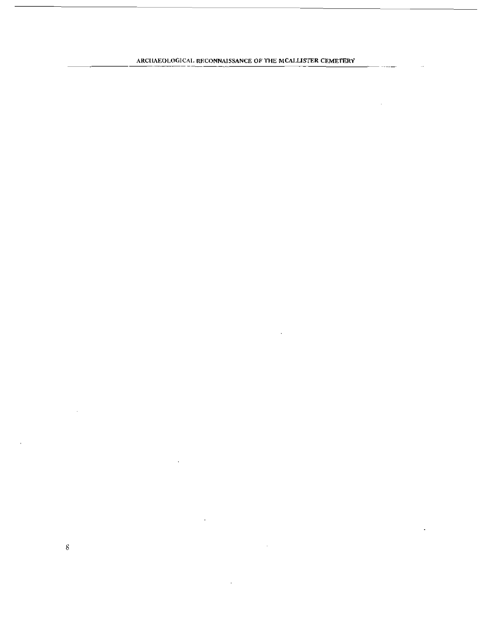ARCHAEOLOGICAL RECONNAISSANCE OF THE MCALLISTER CEMETERY

8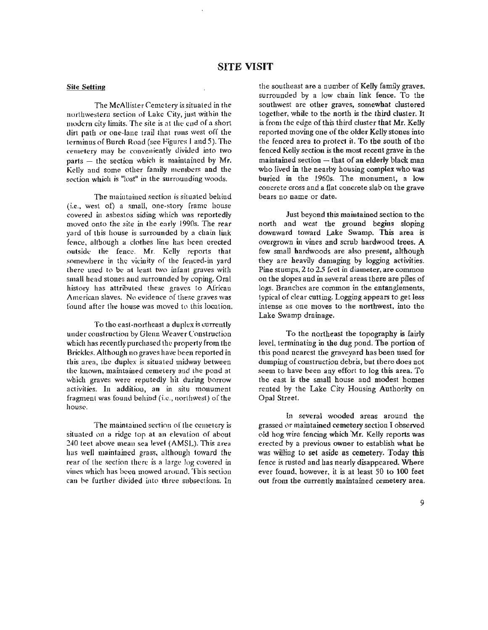#### Site Setting

The McAllister Cemetery is situated in the nurthwestern section of Lake City, just within the modern city limits. The site is at the cnd of a short dirt path or one-lane trail that runs west off the terminus of Burch Road (see Figures 1 and 5). The cemetery may be conveniently divided into two parts  $-$  the section which is maintained by Mr. Kelly and some other family members and the section which is "lost" in the surrounding woods.

The maintained section is situated behind  $(i.e., west of)$  a small, one-story frame house covered in asbestos siding which was reportedly moved onto the site in the early 1990s. The rear yard of this house is surrounded by a chain link fence, although a clothes line has been erected outside the fence. Mr. Kelly reports that somewhere in the vicinity of the fenced-in yard there used to be al least two infanl graves with small head stones and surrounded by coping. Oral history has attributed these graves to African American slaves. No evidence of these graves was found after the house was moved to this location.

To tho east-northeast a duplex is currently under construction by Glenn Weaver Construction which has recently purchased the property from the Brickles. Although no graves have been reported in this area, the duplex is situated midway between the known, maintained cemetery and the pond at which graves were reputedly hit during borrow activities. In addition, an in situ monument fragment was found behind (i.e., northwest) of the house.

The maintained section of the cemetery is situated on a ridge top at an elevation of about ~40 leet above mean sea level (AMSL). This area has well maintained grass, although toward the rear of the section there is a large log covered in vincs which has been mowed around. This section can he further divided into three subsections. In the southeast are a number of Kelly family graves, surrounded by a low chain link fence. To the southwest are other graves, somewhat clustered together, while to the north is the third cluster. It is from the edge of this third cluster that Mr. Kelly reported moving one of the older Kelly stones into the fenced area to protect it. To the south of the fenced Kelly section is the most recent grave in the maintained section  $-$  that of an elderly black man who lived in the nearby housing complex who was buried in the 1960s. The monument, a low concrete cross and a tIat concrete slab on the grave bears no name or date.

Just beyond this maintained section to the north and west the ground begins sloping downward toward Lake Swamp. This area is overgrown in vines and scrub hardwood trees. A few small bardwoods are also present, although they are heavily damaging by logging activities. Pine stumps, 2 to 25 feet in diameter. are common on the slopes and in several areasthere are piles of logs. Branches are common in the entanglements, typical of clear cutting. Logging appears to get less intense as one moves to the northwest, into the Lake Swamp drainage.

To the northeast the topography is fairly level, terminating in the dug pond. The portion of this pond nearest the graveyard has been used for dumping of construction debris, but there does not seem to have been any effort to log this area. To tbe east is the small house and modest homes rented by the Lake City Housing Authority on Opal Street.

In several wooded areas around the grassed or maintained cemetery section I observed old hog wire fencing which Mr. Kelly reports was erected hy a previous owner to establish what he was willing to set aside as cemetery. Today this fence is rusted and has nearly disappeared. Where ever found, however, it is at least 50 to 100 feet out from the currently maintained cemetery area.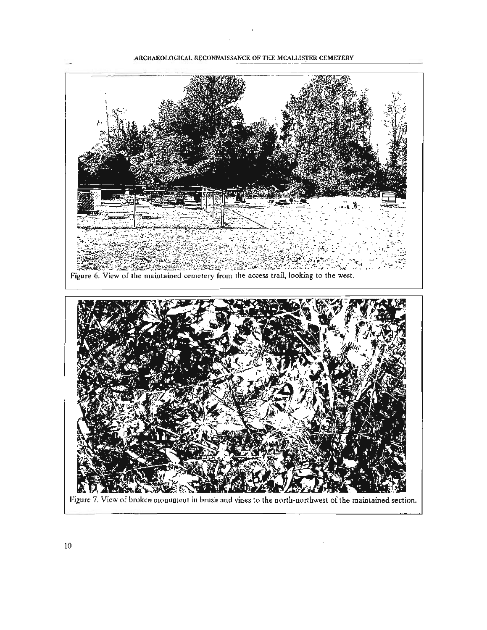

 $10\,$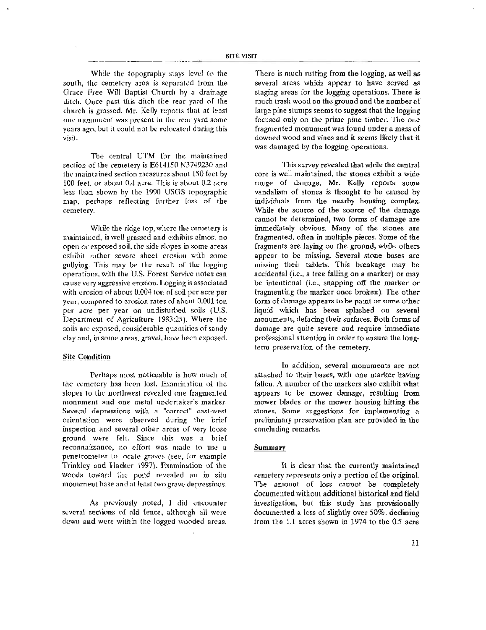While the topography stays level to the south, the cemetery area is separated from the Grace Free Will Baptist Chureh hy a drainage ditch. Once past this ditch the rear yard of the church is grassed. Mr. Kelly reports that at least one monument was present in the rear yard some years ago, but it could not be relocated during this visit.

The central UTM for the maintained section of the cemetery is E6L4150 N3749230 and the maintained section measures about 150 feet by 100 feet, or about 0.4 acre. This is about 0.2 acre less than shown by the 1990 USGS topographic map, perhaps reflecting further loss of the cemetery.

While the ridge top, where the cemetery is maintained, is well grassed and exhihits almost no open or exposed soil, the side slopes in some areas exhibit rather severe sheet erosion with some gullying. This may be the result of the logging operations, with the U.S. Forest Service notes can cause *very* aggressive erosion. Logging is associated with erosion of about 0.004 ton of soil per acre per year, compared to erosion rates of about 0.001 ton per acre per year on undisturbed soils (U.S. Department of Agriculture 1983:25). Where the soils are exposed, considerable quantities of sandy clay and, in some areas, gravel. have been exposed.

#### **Site Condition**

Perhaps most noticeable is hoW much of the cemetery has been lost. Examination of the slopes to tbe northwest revealed one fragmented monnment and one metal undertaker's marker. Several depressions with a "correct" east-west orientation were observed during the brief inspection and several other areas of very loose ground were felt. Since this was a brief reconnaissance, no effort was made to use a penetrometer to locate graves (sec, for example Trinkley and Hacker 1997). Examination of the woods toward the pond revealed an in situ monumeut base and at least two grave depressions.

As previously noted, I did encounter several sections of old feuce, although all were down and were within the logged wooded areas. There is much rutting from the logging, as well as several areas which appear to have served as staging areas for the logging operations. There is much trash wood on the ground and the number of large pine stumps seems to suggest that the logging focused only on the prime pine timber. The one fragmented monument was found under a mass of downed wood and vines and it seems likely that it was damaged by the logging operations.

This survey revealed that while the central core is well maintained, the stones exhibit a wide range of damage. Mr. Kelly reports some vandalism of stones is thought to be caused by individuals from the nearby housing complex. While the source of the source of the damage cannot be determined, two forms of damage are immediately obvious. Many of the stones are fragmented, often in multiple pieces. Some of the fragments are laying on the ground, while others appear to be missing. Several stone bases are missing their tablets. This breakage may be accidental (i.e., a tree falling on a marker) or may be intentional (i.e., snapping off the marker or fragmenting the marker once broken). The other form of damage appears to be paint or some other liquid which has been splashed on several monuments, defacing their surfaces. Both forms of damage are quite severe and require immediate professional attention in order to ensure the longterm preservation of the cemetery.

In addition, several monuments are not attached to their bases, with one marker having fallen. A number of the markers also exhibit what appears to be mower damage, resulting from mower blades or the mower housing hitting the stones. Some suggestions for implementing a preliminary preservation plan are provided in the concluding remarks.

#### **Summary**

It is dear that the currently maintained cemetery represents only a portion of the original The amount of loss cannot be completely documented without additional historical and field investigation, but this study has provisionally documented a loss of slightly over 50%, declining from the 1.1 acres shown in 1974 to the 0.5 acre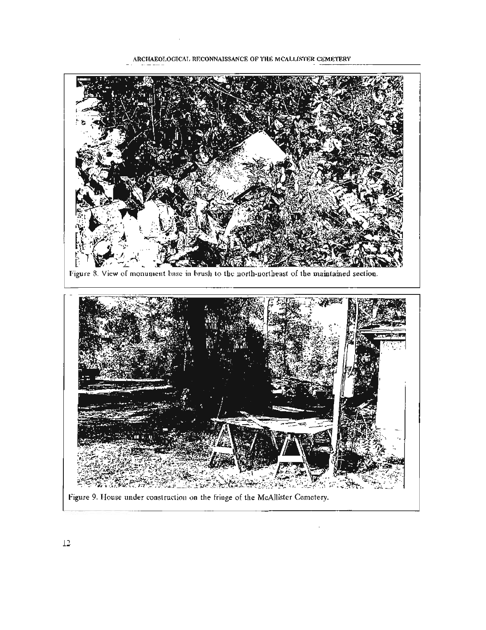ARCHAEOLOGICAL RECONNAISSANCE OF THE MCALLISTER CEMETERY

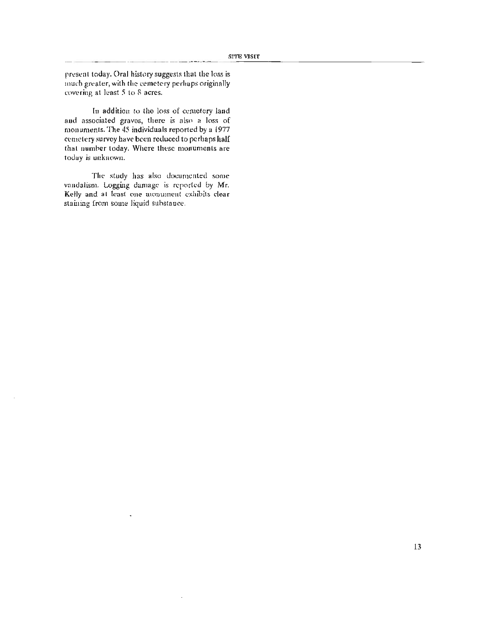present today. Oral history suggests that the loss is much greater, with the cemetery perhaps originally covering at least 5 to 8 acres.

In addition to the loss of cemetery land and associated graves, there is also a loss of monuments. The 45 individuals reported by a 1977 cemetery survey have been reduced to perhaps half that number today. Where these monuments are today is unknown.

The study has also documented some vandalism. Logging damage is reported by Mr. Kelly and at least one monument exhibits clear staining from some liquid substance.

 $\overline{\phantom{a}}$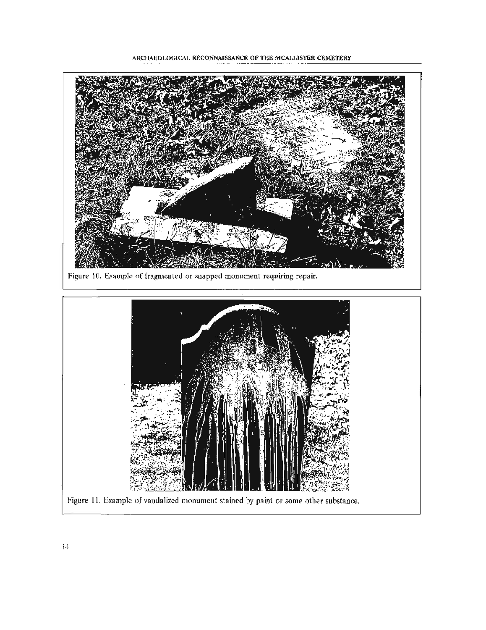ARCHAEOLOGICAL RECONNAISSANCE OF THE MCALLISTER CEMETERY

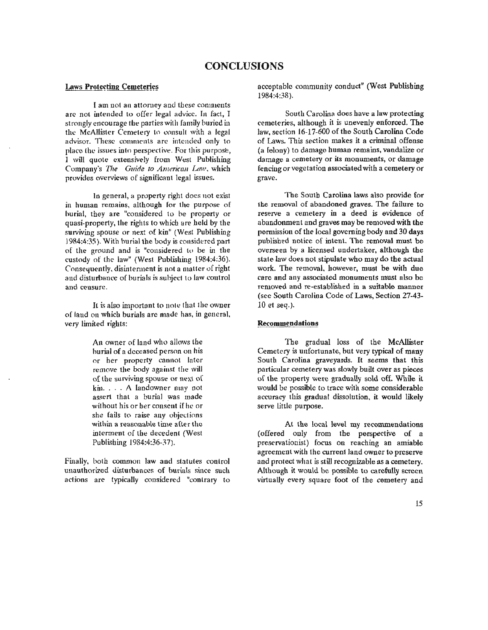#### Laws Protecting Cemeteries

I am not an attomey and these comments are not intended to offer legal advice. In fact, I strongly encourage the parties with family buried in the McAllister Cemetery to consult with a legal advisor. These comments are intended only to place the issues into perspective. For this purpose, I will quote extensively from West Publishing Company's *The Guide to American Law*, which provides overviews of significant legal issues.

In general, a property right does not exist in human remains, although for the purpose of burial, they are "considered to be property or quasi-property, the rights to which are held by the surviving spouse or next of kin" (West Publishing 1984:4:35). With burial the body is considered part of the ground and is "considered to be in the custody of the law" (West Publishing 1984:4:36). Consequently. disintennent is not a matter of right and disturbance of burials is subject to law control and censure.

It is also important to note that the owner of laud on which burials are made has, in general, very limited rights:

> An owner of land who allows the hurial of a deceased person on his or her property cannot later remove the body against the will of the surviving spouse or next of kin.... A landowner may not assert that a burial was made without his or her consent if he or she fails to raise any objections within a reasonable time after the interment of the decedent (West Publishing 1984:4:36-37).

Finally, both common law and statutes control unauthorized disturbances of burials since such actions are typically considered "contrary to acceptable community conduct" (West Publishing 1984:4:38).

South Carolina does have a law protecting cemeteries, although it is unevenly enforced. The law, section 16-17-600 of the South Carolina Code of Laws. This section makes it a criminal offense (a felony) to damage human remains, vandalize or damage a cemetery or its monuments, or damage fencing or vegetation associatedwith a cemetery or grave.

The Soutb Carolina laws also provide for the removal of abandoned graves. The failure to reserve a cemetery in a deed is evidence of abandonment and graves may be removed with the permission of the local governing body and 30 days published notice of intent. The removal must be overseen by a licensed undertaker, although the state law does not stipulate who may do the actual work. The removal, however, must be with due care and any associated monuments must also be removed and re-established in a suitable manner (see South Carolina Code of Laws, Section 27-43- 10 et seq.).

#### Recommendations

The gradual loss of the McAllister Cemetery is unfortunate, but very typical of many South Carolina graveyards. It seems that this particular cemetery was slowly built over as pieces of the property were gradually sold off. While it would be possible to trace with some considerable accuracy this gradual dissolution, it would likely serve little purpose.

At the local level my recommendations (offered only from the perspective of a preservationist) focus on reaching an amiable agreement with the current land owner to preserve and protect what is still recognizable as a cemetery. Although it would be possible to carefully screen virtually every square foot of the cemetery and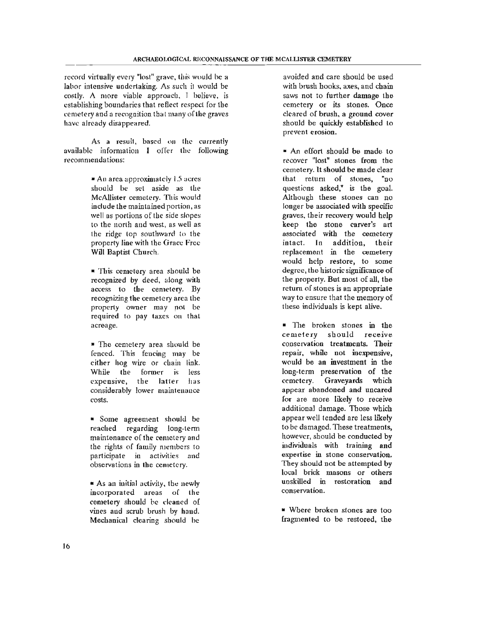record virtually every "lost" grave, this would be a labor intensive undertaking. As such it would be costly. A more viable approach, I believe, is establishing boundaries that reflect respect for the cemetery and a recognition that many of the graves have already disappeared.

As a result, based on the currently available information I offer the following recommendations:

> $\blacktriangleright$  An area approximately 1.5 acres should be set aside as the McAllister cemetery. This would include the maintained portion, as well as portions of the side slopes to the north and west, as well as the ridge top southward to the property line with the Grace Free Will Baptist Church.

> • This cemetery area should be recognized by deed, along with access to the cemetery. By recognizing the cemetery area the property owner may not be required to pay taxes on that acreage.

> • The cemetery area should be fenced. This fencing may be either hog wire or chain link. While the former is less expensive, the latter has considerably lower maintenance costs.

> • Some agreement should be reached regarding long-term maintenance 0[1he cemetery and the rights of family members to participate in activities and observations in the cemetery.

> • As an initial activity. the newly incorporated areas of the cemetery should be cleaned of vines and scrub brush by houd. Mechanical clearing should he

avoided and care should be used with brush hooks, axes, and chain saws not to further damage the cemetery or its stones. Once cleared of brush, a ground cover should be quickly established to prevent erosion.

• An effort should be made to recover "lost" stones from the cemetery. It should be made clear that return of stones, "no questions asked," is the goal. Although these stones can no longer be associated with specific graves. their recovery would help keep the stone carver's art associated with the cemetery intact. In addition, their replacement in the cemetery would help restore, to some degree, the historic significance of the property. But most of all, the return of stones is an appropriate way to ensure that the memory of these individuals is kept alive.

• TIle broken stones in the cemetery should receive conservation treatments. Their repair, while not inexpensive, would be an investment in the long-term preservation of the cemetery. Graveyards which appear abandoned and uncared for are more likely to receive additional damage. Those which appear well tended are less likely to be damaged. These treatments, however, should be conducted by individuals with training and expertise in stone conservation. They should not be attempted by local brick masons or others unskiUed in restoration and conservation.

• Where broken stones are too fragmented to be restored, the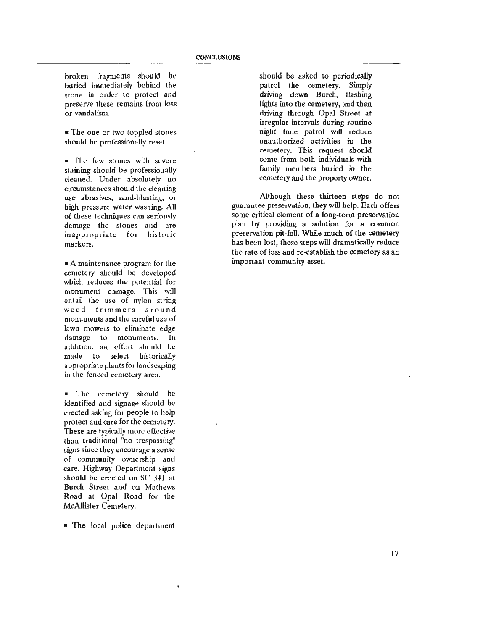broken fragments should be buried immediately hehind the stone in order to protect and preserve these remains from loss or vandalism.

• The one or two toppled stones should be professionally reset.

• The few stones with severe staining should be professioually deaned. Under 3bsolutely no circumstances should the cleaning use abrasives, sand-hlasting, or high pressure water washing. All of these techniques can seriously damage the stones and are inappropriate for historic markers.

• A maintenance program for the cemetery should be developed which reduces the potential for monument damage. This will entail the use of nylon string weed trimmers around monuments and the careful usc of lawn mowers to eliminate edge damage to monuments. In addition, an effort should be made to select historically appropriate plantsfor landscaping in the fenced cemetery area.

• The cemetery should be identified and signage should be' erected asking for people to help protect and care for the cemetery. These are typically more effective than traditional "no trespassing" signs since they encourage a sense of community ownership and care. Highway Department signs should be erected on SC 341 at Burch Street and 00 Mathews Road at Opal Road for the McAllister Cemetery.

• The local police department

should be asked to periodically patrol the cemetery. Simply driving down Burch, flashing lights into the cemetery, and then driving through Opal Street at irregular intervals during routine night time patrol will reduce unauthorized activities in the cemetery. This request should come from both individuals with family members buried in the cemetery and the property owner.

Although these thirteen steps do not guarantee preservation, they will help. Each offers some critical element of a long-term preservation plan by providing a solution for a common preservation pit-fall. While much of the cemetery has been lost, these steps will dramatically reduce the rate of loss and re-establish the cemetery as an important community asset.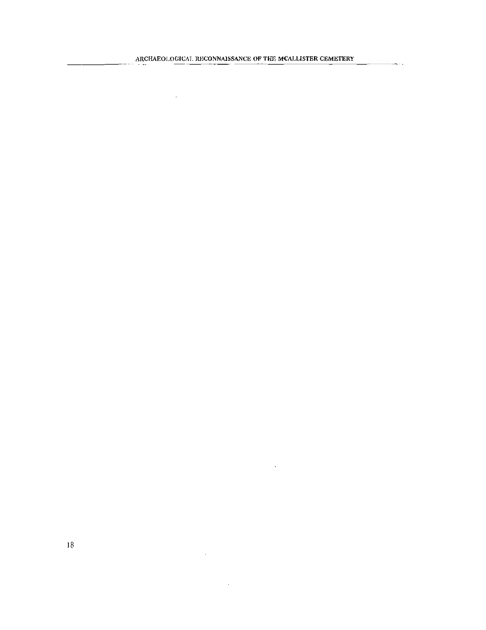ARCHAEOLOGICAL RECONNAISSANCE OF THE MCALLISTER CEMETERY

 $\sim 10^{-10}$ 

 $\mathcal{L}^{\text{max}}_{\text{max}}$  and  $\mathcal{L}^{\text{max}}_{\text{max}}$ 

 $\mathcal{L}^{\text{max}}_{\text{max}}$  , where  $\mathcal{L}^{\text{max}}_{\text{max}}$ 

 $\mathcal{L}^{\text{max}}_{\text{max}}$  and  $\mathcal{L}^{\text{max}}_{\text{max}}$ 

 $\sim$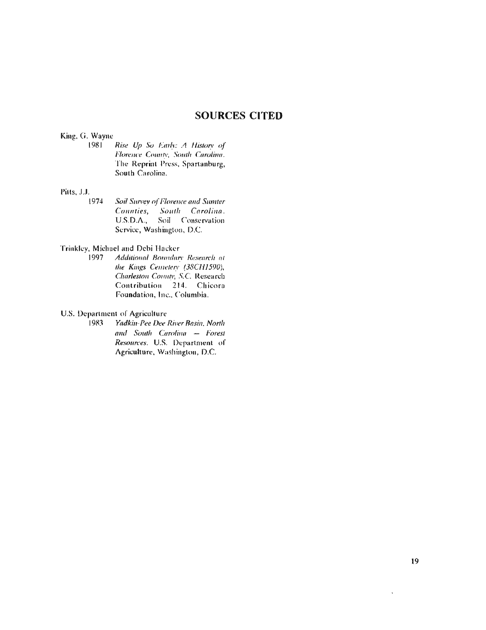# **SOURCES CITED**

King, G. Wayne

 $1981$ Rise Up So Early: A History of Florence County, South Carolina. The Reprint Press, Spartanburg, South Carolina.

#### Pitts, J.J.

1974 Soil Survey of Florence and Sumter South Carolina. Counties,  $U.S.D.A.,$ Soil Conservation Service, Washington, D.C.

Trinkley, Michael and Debi Hacker

1997 Additional Boundary Research at the Kings Cemetery (38CH1590), Charleston County, S.C. Research Contribution 214. Chicora Foundation, Inc., Columbia.

U.S. Department of Agriculture

1983 Yadkin-Pee Dee River Basin, North and South Carolina - Forest Resources. U.S. Department of Agriculture, Washington, D.C.